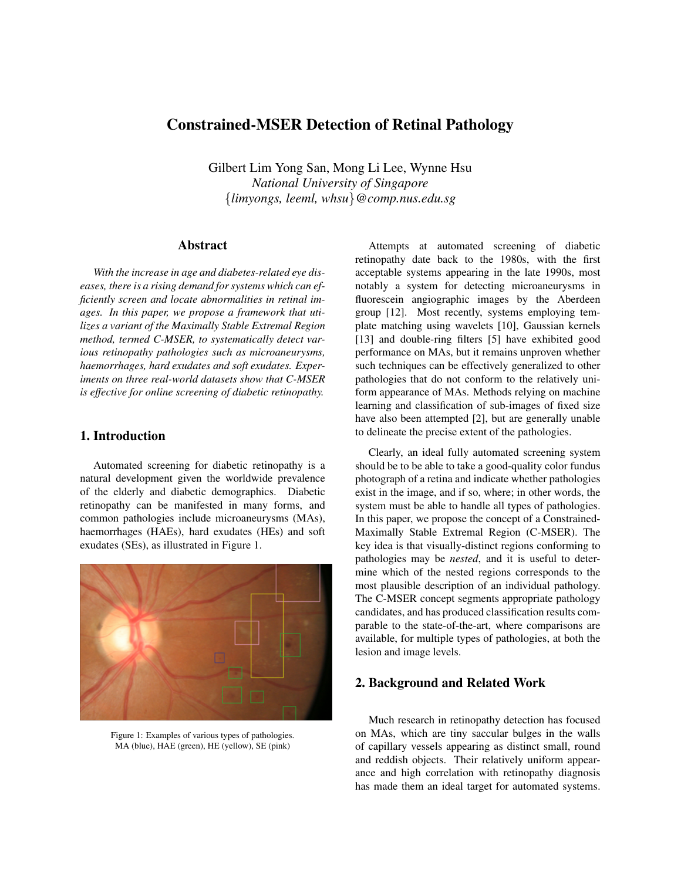# Constrained-MSER Detection of Retinal Pathology

Gilbert Lim Yong San, Mong Li Lee, Wynne Hsu *National University of Singapore* {*limyongs, leeml, whsu*}*@comp.nus.edu.sg*

#### Abstract

*With the increase in age and diabetes-related eye diseases, there is a rising demand for systems which can efficiently screen and locate abnormalities in retinal images. In this paper, we propose a framework that utilizes a variant of the Maximally Stable Extremal Region method, termed C-MSER, to systematically detect various retinopathy pathologies such as microaneurysms, haemorrhages, hard exudates and soft exudates. Experiments on three real-world datasets show that C-MSER is effective for online screening of diabetic retinopathy.*

### 1. Introduction

Automated screening for diabetic retinopathy is a natural development given the worldwide prevalence of the elderly and diabetic demographics. Diabetic retinopathy can be manifested in many forms, and common pathologies include microaneurysms (MAs), haemorrhages (HAEs), hard exudates (HEs) and soft exudates (SEs), as illustrated in Figure 1.



Figure 1: Examples of various types of pathologies. MA (blue), HAE (green), HE (yellow), SE (pink)

Attempts at automated screening of diabetic retinopathy date back to the 1980s, with the first acceptable systems appearing in the late 1990s, most notably a system for detecting microaneurysms in fluorescein angiographic images by the Aberdeen group [12]. Most recently, systems employing template matching using wavelets [10], Gaussian kernels [13] and double-ring filters [5] have exhibited good performance on MAs, but it remains unproven whether such techniques can be effectively generalized to other pathologies that do not conform to the relatively uniform appearance of MAs. Methods relying on machine learning and classification of sub-images of fixed size have also been attempted [2], but are generally unable to delineate the precise extent of the pathologies.

Clearly, an ideal fully automated screening system should be to be able to take a good-quality color fundus photograph of a retina and indicate whether pathologies exist in the image, and if so, where; in other words, the system must be able to handle all types of pathologies. In this paper, we propose the concept of a Constrained-Maximally Stable Extremal Region (C-MSER). The key idea is that visually-distinct regions conforming to pathologies may be *nested*, and it is useful to determine which of the nested regions corresponds to the most plausible description of an individual pathology. The C-MSER concept segments appropriate pathology candidates, and has produced classification results comparable to the state-of-the-art, where comparisons are available, for multiple types of pathologies, at both the lesion and image levels.

#### 2. Background and Related Work

Much research in retinopathy detection has focused on MAs, which are tiny saccular bulges in the walls of capillary vessels appearing as distinct small, round and reddish objects. Their relatively uniform appearance and high correlation with retinopathy diagnosis has made them an ideal target for automated systems.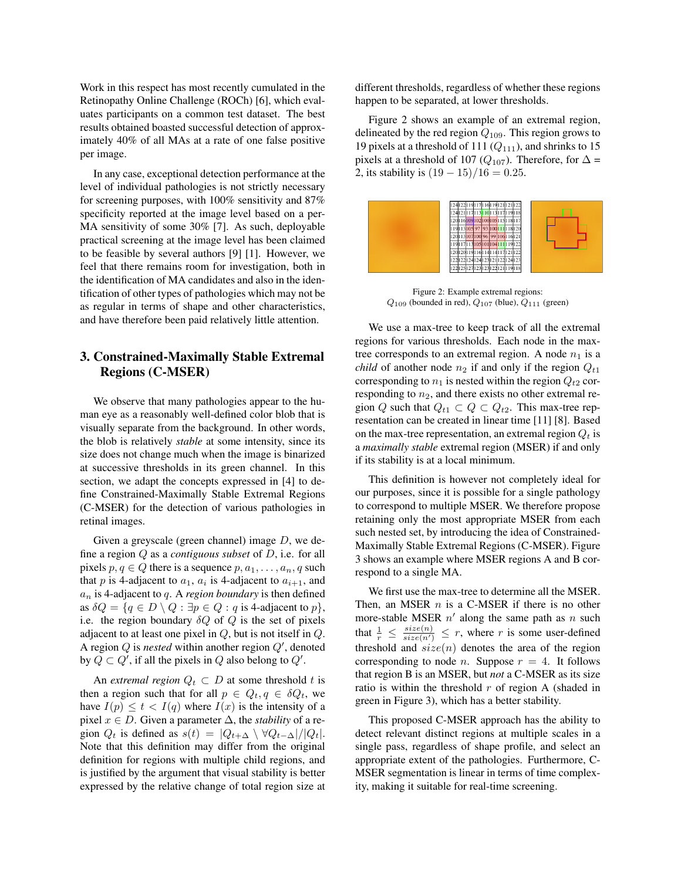Work in this respect has most recently cumulated in the Retinopathy Online Challenge (ROCh) [6], which evaluates participants on a common test dataset. The best results obtained boasted successful detection of approximately 40% of all MAs at a rate of one false positive per image.

In any case, exceptional detection performance at the level of individual pathologies is not strictly necessary for screening purposes, with 100% sensitivity and 87% specificity reported at the image level based on a per-MA sensitivity of some 30% [7]. As such, deployable practical screening at the image level has been claimed to be feasible by several authors [9] [1]. However, we feel that there remains room for investigation, both in the identification of MA candidates and also in the identification of other types of pathologies which may not be as regular in terms of shape and other characteristics, and have therefore been paid relatively little attention.

## 3. Constrained-Maximally Stable Extremal Regions (C-MSER)

We observe that many pathologies appear to the human eye as a reasonably well-defined color blob that is visually separate from the background. In other words, the blob is relatively *stable* at some intensity, since its size does not change much when the image is binarized at successive thresholds in its green channel. In this section, we adapt the concepts expressed in [4] to define Constrained-Maximally Stable Extremal Regions (C-MSER) for the detection of various pathologies in retinal images.

Given a greyscale (green channel) image  $D$ , we define a region Q as a *contiguous subset* of D, i.e. for all pixels  $p, q \in Q$  there is a sequence  $p, a_1, \ldots, a_n, q$  such that p is 4-adjacent to  $a_1$ ,  $a_i$  is 4-adjacent to  $a_{i+1}$ , and  $a_n$  is 4-adjacent to q. A *region boundary* is then defined as  $\delta Q = \{q \in D \setminus Q : \exists p \in Q : q \text{ is 4-adjacent to } p\},\$ i.e. the region boundary  $\delta Q$  of Q is the set of pixels adjacent to at least one pixel in  $Q$ , but is not itself in  $Q$ . A region  $Q$  is *nested* within another region  $Q'$ , denoted by  $Q \subset Q'$ , if all the pixels in Q also belong to  $Q'$ .

An *extremal region*  $Q_t \n\subset D$  at some threshold t is then a region such that for all  $p \in Q_t, q \in \delta Q_t$ , we have  $I(p) \le t < I(q)$  where  $I(x)$  is the intensity of a pixel  $x \in D$ . Given a parameter  $\Delta$ , the *stability* of a region  $Q_t$  is defined as  $s(t) = |Q_{t+\Delta} \setminus \forall Q_{t-\Delta} | / |Q_t|$ . Note that this definition may differ from the original definition for regions with multiple child regions, and is justified by the argument that visual stability is better expressed by the relative change of total region size at different thresholds, regardless of whether these regions happen to be separated, at lower thresholds.

Figure 2 shows an example of an extremal region, delineated by the red region  $Q_{109}$ . This region grows to 19 pixels at a threshold of 111  $(Q_{111})$ , and shrinks to 15 pixels at a threshold of 107 ( $Q_{107}$ ). Therefore, for  $\Delta$  = 2, its stability is  $(19 - 15)/16 = 0.25$ .



Figure 2: Example extremal regions:  $Q_{109}$  (bounded in red),  $Q_{107}$  (blue),  $Q_{111}$  (green)

We use a max-tree to keep track of all the extremal regions for various thresholds. Each node in the maxtree corresponds to an extremal region. A node  $n_1$  is a *child* of another node  $n_2$  if and only if the region  $Q_{t1}$ corresponding to  $n_1$  is nested within the region  $Q_{t2}$  corresponding to  $n_2$ , and there exists no other extremal region Q such that  $Q_{t1} \subset Q \subset Q_{t2}$ . This max-tree representation can be created in linear time [11] [8]. Based on the max-tree representation, an extremal region  $Q_t$  is a *maximally stable* extremal region (MSER) if and only if its stability is at a local minimum.

This definition is however not completely ideal for our purposes, since it is possible for a single pathology to correspond to multiple MSER. We therefore propose retaining only the most appropriate MSER from each such nested set, by introducing the idea of Constrained-Maximally Stable Extremal Regions (C-MSER). Figure 3 shows an example where MSER regions A and B correspond to a single MA.

We first use the max-tree to determine all the MSER. Then, an MSER  $n$  is a C-MSER if there is no other more-stable MSER  $n'$  along the same path as n such that  $\frac{1}{r} \leq \frac{size(n)}{size(n')} \leq r$ , where r is some user-defined threshold and  $size(n)$  denotes the area of the region corresponding to node *n*. Suppose  $r = 4$ . It follows that region B is an MSER, but *not* a C-MSER as its size ratio is within the threshold  $r$  of region A (shaded in green in Figure 3), which has a better stability.

This proposed C-MSER approach has the ability to detect relevant distinct regions at multiple scales in a single pass, regardless of shape profile, and select an appropriate extent of the pathologies. Furthermore, C-MSER segmentation is linear in terms of time complexity, making it suitable for real-time screening.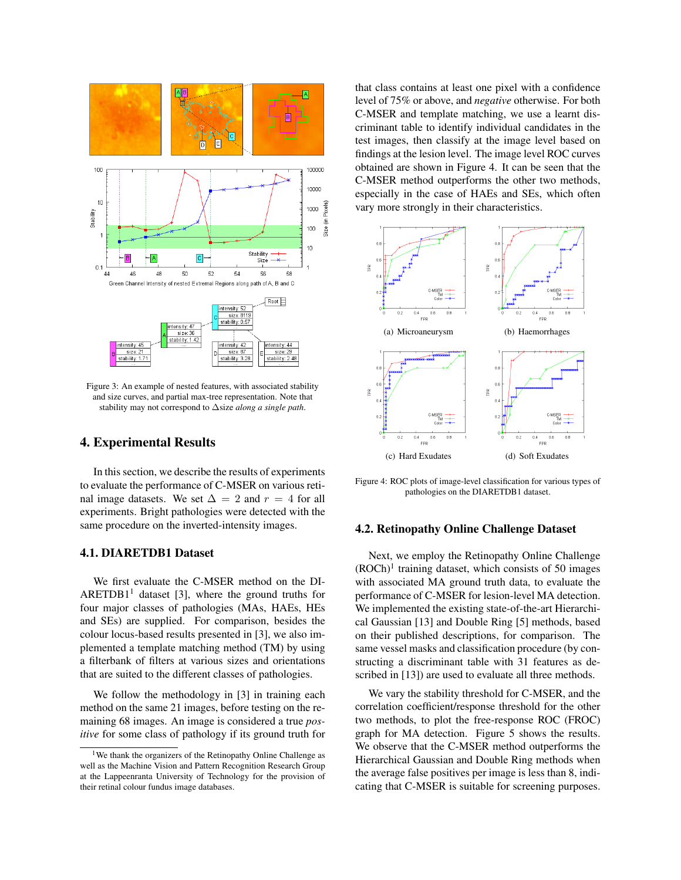

Figure 3: An example of nested features, with associated stability and size curves, and partial max-tree representation. Note that stability may not correspond to ∆size *along a single path*.

#### 4. Experimental Results

In this section, we describe the results of experiments to evaluate the performance of C-MSER on various retinal image datasets. We set  $\Delta = 2$  and  $r = 4$  for all experiments. Bright pathologies were detected with the same procedure on the inverted-intensity images.

#### 4.1. DIARETDB1 Dataset

We first evaluate the C-MSER method on the DI-ARETDB1<sup>1</sup> dataset [3], where the ground truths for four major classes of pathologies (MAs, HAEs, HEs and SEs) are supplied. For comparison, besides the colour locus-based results presented in [3], we also implemented a template matching method (TM) by using a filterbank of filters at various sizes and orientations that are suited to the different classes of pathologies.

We follow the methodology in [3] in training each method on the same 21 images, before testing on the remaining 68 images. An image is considered a true *positive* for some class of pathology if its ground truth for that class contains at least one pixel with a confidence level of 75% or above, and *negative* otherwise. For both C-MSER and template matching, we use a learnt discriminant table to identify individual candidates in the test images, then classify at the image level based on findings at the lesion level. The image level ROC curves obtained are shown in Figure 4. It can be seen that the C-MSER method outperforms the other two methods, especially in the case of HAEs and SEs, which often vary more strongly in their characteristics.



Figure 4: ROC plots of image-level classification for various types of pathologies on the DIARETDB1 dataset.

#### 4.2. Retinopathy Online Challenge Dataset

Next, we employ the Retinopathy Online Challenge  $(ROCh)^1$  training dataset, which consists of 50 images with associated MA ground truth data, to evaluate the performance of C-MSER for lesion-level MA detection. We implemented the existing state-of-the-art Hierarchical Gaussian [13] and Double Ring [5] methods, based on their published descriptions, for comparison. The same vessel masks and classification procedure (by constructing a discriminant table with 31 features as described in [13]) are used to evaluate all three methods.

We vary the stability threshold for C-MSER, and the correlation coefficient/response threshold for the other two methods, to plot the free-response ROC (FROC) graph for MA detection. Figure 5 shows the results. We observe that the C-MSER method outperforms the Hierarchical Gaussian and Double Ring methods when the average false positives per image is less than 8, indicating that C-MSER is suitable for screening purposes.

<sup>1</sup>We thank the organizers of the Retinopathy Online Challenge as well as the Machine Vision and Pattern Recognition Research Group at the Lappeenranta University of Technology for the provision of their retinal colour fundus image databases.